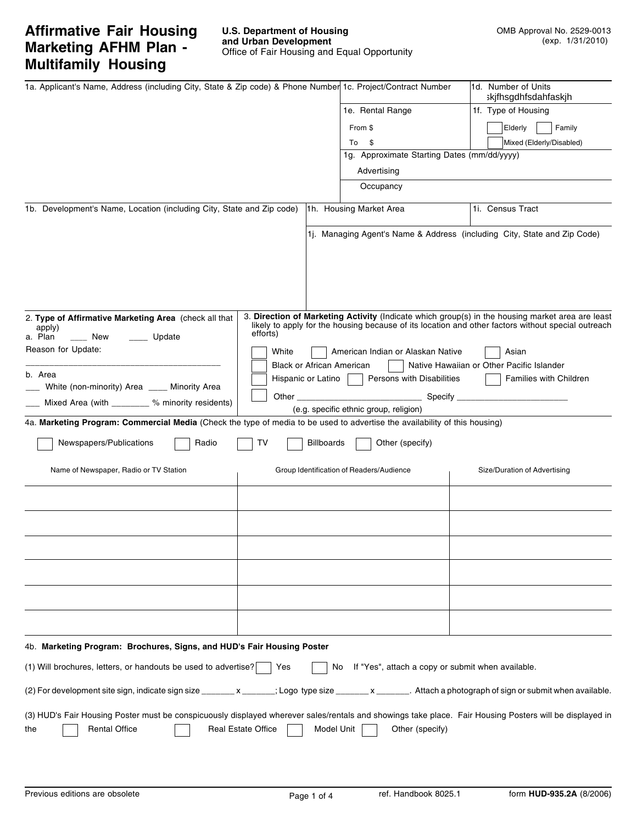# **Affirmative Fair Housing Marketing AFHM Plan - Multifamily Housing**

| 1a. Applicant's Name, Address (including City, State & Zip code) & Phone Number 1c. Project/Contract Number                                                |                           |                                  |                                                   | 1d. Number of Units<br>skjfhsgdhfsdahfaskjh                                                                                                                                                                     |
|------------------------------------------------------------------------------------------------------------------------------------------------------------|---------------------------|----------------------------------|---------------------------------------------------|-----------------------------------------------------------------------------------------------------------------------------------------------------------------------------------------------------------------|
|                                                                                                                                                            |                           |                                  | 1e. Rental Range                                  | 1f. Type of Housing                                                                                                                                                                                             |
|                                                                                                                                                            |                           |                                  | From \$                                           | Elderly<br>Family                                                                                                                                                                                               |
|                                                                                                                                                            |                           |                                  | - \$<br>To                                        | Mixed (Elderly/Disabled)                                                                                                                                                                                        |
|                                                                                                                                                            |                           |                                  | 1g. Approximate Starting Dates (mm/dd/yyyy)       |                                                                                                                                                                                                                 |
|                                                                                                                                                            |                           |                                  | Advertising                                       |                                                                                                                                                                                                                 |
|                                                                                                                                                            |                           |                                  | Occupancy                                         |                                                                                                                                                                                                                 |
|                                                                                                                                                            |                           |                                  |                                                   |                                                                                                                                                                                                                 |
| 1b. Development's Name, Location (including City, State and Zip code)                                                                                      |                           |                                  | 1h. Housing Market Area                           | 1i. Census Tract                                                                                                                                                                                                |
|                                                                                                                                                            |                           |                                  |                                                   | 1j. Managing Agent's Name & Address (including City, State and Zip Code)                                                                                                                                        |
| 2. Type of Affirmative Marketing Area (check all that<br>apply)<br>a. Plan<br>___ New<br>Update<br>Reason for Update:                                      | efforts)<br>White         |                                  | American Indian or Alaskan Native                 | 3. Direction of Marketing Activity (Indicate which group(s) in the housing market area are least<br>likely to apply for the housing because of its location and other factors without special outreach<br>Asian |
| b. Area                                                                                                                                                    |                           | <b>Black or African American</b> |                                                   | Native Hawaiian or Other Pacific Islander                                                                                                                                                                       |
| White (non-minority) Area ____ Minority Area                                                                                                               |                           | Hispanic or Latino               | Persons with Disabilities                         | <b>Families with Children</b>                                                                                                                                                                                   |
| Mixed Area (with ________ % minority residents)                                                                                                            | Other                     |                                  | Specify $\_$                                      |                                                                                                                                                                                                                 |
| 4a. Marketing Program: Commercial Media (Check the type of media to be used to advertise the availability of this housing)                                 |                           |                                  | (e.g. specific ethnic group, religion)            |                                                                                                                                                                                                                 |
|                                                                                                                                                            |                           |                                  |                                                   |                                                                                                                                                                                                                 |
| Newspapers/Publications<br>Radio                                                                                                                           | т٧                        | <b>Billboards</b>                | Other (specify)                                   |                                                                                                                                                                                                                 |
| Name of Newspaper, Radio or TV Station                                                                                                                     |                           |                                  | Group Identification of Readers/Audience          | Size/Duration of Advertising                                                                                                                                                                                    |
|                                                                                                                                                            |                           |                                  |                                                   |                                                                                                                                                                                                                 |
|                                                                                                                                                            |                           |                                  |                                                   |                                                                                                                                                                                                                 |
|                                                                                                                                                            |                           |                                  |                                                   |                                                                                                                                                                                                                 |
|                                                                                                                                                            |                           |                                  |                                                   |                                                                                                                                                                                                                 |
|                                                                                                                                                            |                           |                                  |                                                   |                                                                                                                                                                                                                 |
|                                                                                                                                                            |                           |                                  |                                                   |                                                                                                                                                                                                                 |
| 4b. Marketing Program: Brochures, Signs, and HUD's Fair Housing Poster                                                                                     |                           |                                  |                                                   |                                                                                                                                                                                                                 |
| (1) Will brochures, letters, or handouts be used to advertise?                                                                                             | Yes                       | No.                              | If "Yes", attach a copy or submit when available. |                                                                                                                                                                                                                 |
| (2) For development site sign, indicate sign size ________x _______; Logo type size _______x _______. Attach a photograph of sign or submit when available |                           |                                  |                                                   |                                                                                                                                                                                                                 |
| (3) HUD's Fair Housing Poster must be conspicuously displayed wherever sales/rentals and showings take place. Fair Housing Posters will be displayed in    |                           |                                  |                                                   |                                                                                                                                                                                                                 |
| <b>Rental Office</b><br>the                                                                                                                                | <b>Real Estate Office</b> | Model Unit                       | Other (specify)                                   |                                                                                                                                                                                                                 |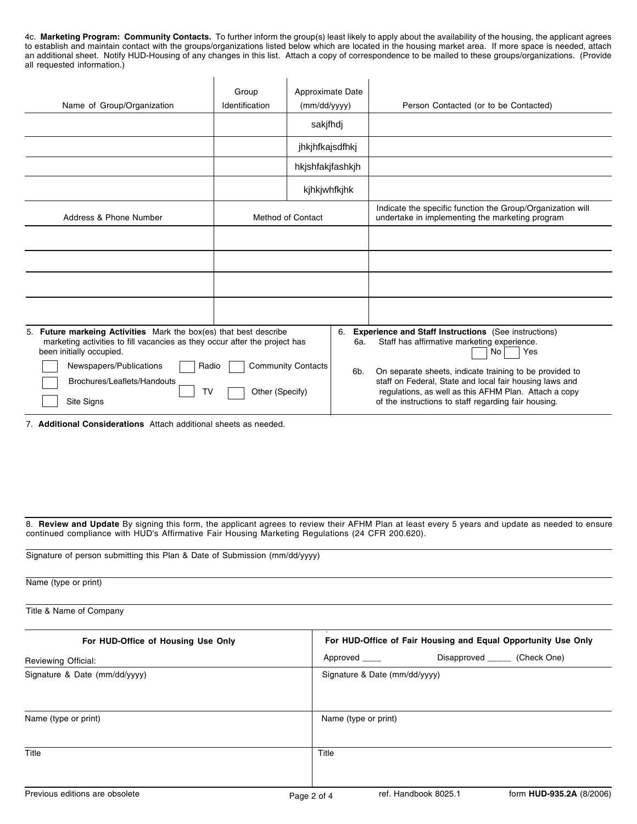4c. **Marketing Program: Community Contacts.** To further inform the group(s) least likely to apply about the availability of the housing, the applicant agrees to establish and maintain contact with the groups/organizations listed below which are located in the housing market area. If more space is needed, attach an additional sheet. Notify HUD-Housing of any changes in this list. Attach a copy of correspondence to be mailed to these groups/organizations. (Provide all requested information.)

| Name of Group/Organization                                                                                                                                                                                                                                                | Group<br>Identification | Approximate Date<br>(mm/dd/yyyy)<br>sakjfhdj |                  | Person Contacted (or to be Contacted)                                                                                                                                                                                                                                                                                                                          |
|---------------------------------------------------------------------------------------------------------------------------------------------------------------------------------------------------------------------------------------------------------------------------|-------------------------|----------------------------------------------|------------------|----------------------------------------------------------------------------------------------------------------------------------------------------------------------------------------------------------------------------------------------------------------------------------------------------------------------------------------------------------------|
|                                                                                                                                                                                                                                                                           |                         | jhkjhfkajsdfhkj<br>hkjshfakjfashkjh          |                  |                                                                                                                                                                                                                                                                                                                                                                |
|                                                                                                                                                                                                                                                                           |                         | kjhkjwhfkjhk                                 |                  |                                                                                                                                                                                                                                                                                                                                                                |
| Address & Phone Number                                                                                                                                                                                                                                                    |                         | <b>Method of Contact</b>                     |                  | Indicate the specific function the Group/Organization will<br>undertake in implementing the marketing program                                                                                                                                                                                                                                                  |
|                                                                                                                                                                                                                                                                           |                         |                                              |                  |                                                                                                                                                                                                                                                                                                                                                                |
|                                                                                                                                                                                                                                                                           |                         |                                              |                  |                                                                                                                                                                                                                                                                                                                                                                |
|                                                                                                                                                                                                                                                                           |                         |                                              |                  |                                                                                                                                                                                                                                                                                                                                                                |
|                                                                                                                                                                                                                                                                           |                         |                                              |                  |                                                                                                                                                                                                                                                                                                                                                                |
| 5. Future markeing Activities Mark the box(es) that best describe<br>marketing activities to fill vacancies as they occur after the project has<br>been initially occupied.<br>Newspapers/Publications<br>Radio<br>Brochures/Leaflets/Handouts<br>TV<br><b>Site Signs</b> | Other (Specify)         | <b>Community Contacts</b>                    | 6.<br>6a.<br>6b. | <b>Experience and Staff Instructions</b> (See instructions)<br>Staff has affirmative marketing experience.<br>Yes<br>No<br>On separate sheets, indicate training to be provided to<br>staff on Federal, State and local fair housing laws and<br>regulations, as well as this AFHM Plan. Attach a copy<br>of the instructions to staff regarding fair housing. |

7. **Additional Considerations** Attach additional sheets as needed.

8. **Review and Update** By signing this form, the applicant agrees to review their AFHM Plan at least every 5 years and update as needed to ensure continued compliance with HUD's Affirmative Fair Housing Marketing Regulations (24 CFR 200.620).

| Name (type or print)<br>Title & Name of Company |                                                  |  |  |  |  |  |  |
|-------------------------------------------------|--------------------------------------------------|--|--|--|--|--|--|
|                                                 |                                                  |  |  |  |  |  |  |
| Reviewing Official:                             | Disapproved _______ (Check One)<br>Approved ____ |  |  |  |  |  |  |
| Signature & Date (mm/dd/yyyy)                   | Signature & Date (mm/dd/yyyy)                    |  |  |  |  |  |  |
| Name (type or print)                            | Name (type or print)                             |  |  |  |  |  |  |
| Title                                           | Title                                            |  |  |  |  |  |  |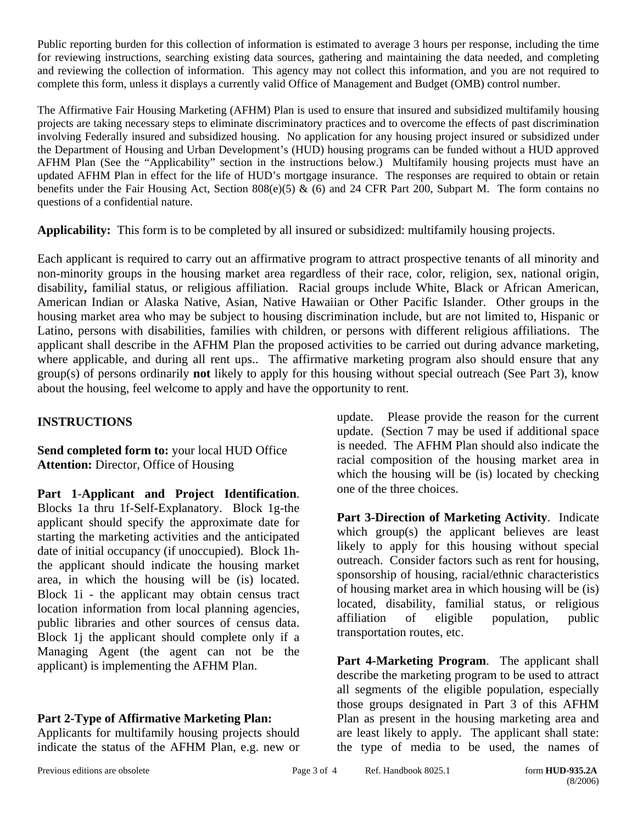Public reporting burden for this collection of information is estimated to average 3 hours per response, including the time for reviewing instructions, searching existing data sources, gathering and maintaining the data needed, and completing and reviewing the collection of information. This agency may not collect this information, and you are not required to complete this form, unless it displays a currently valid Office of Management and Budget (OMB) control number.

The Affirmative Fair Housing Marketing (AFHM) Plan is used to ensure that insured and subsidized multifamily housing projects are taking necessary steps to eliminate discriminatory practices and to overcome the effects of past discrimination involving Federally insured and subsidized housing. No application for any housing project insured or subsidized under the Department of Housing and Urban Development's (HUD) housing programs can be funded without a HUD approved AFHM Plan (See the "Applicability" section in the instructions below.) Multifamily housing projects must have an updated AFHM Plan in effect for the life of HUD's mortgage insurance. The responses are required to obtain or retain benefits under the Fair Housing Act, Section 808(e)(5) & (6) and 24 CFR Part 200, Subpart M. The form contains no questions of a confidential nature.

**Applicability:** This form is to be completed by all insured or subsidized: multifamily housing projects.

Each applicant is required to carry out an affirmative program to attract prospective tenants of all minority and non-minority groups in the housing market area regardless of their race, color, religion, sex, national origin, disability**,** familial status, or religious affiliation. Racial groups include White, Black or African American, American Indian or Alaska Native, Asian, Native Hawaiian or Other Pacific Islander. Other groups in the housing market area who may be subject to housing discrimination include, but are not limited to, Hispanic or Latino, persons with disabilities, families with children, or persons with different religious affiliations. The applicant shall describe in the AFHM Plan the proposed activities to be carried out during advance marketing, where applicable, and during all rent ups.. The affirmative marketing program also should ensure that any group(s) of persons ordinarily **not** likely to apply for this housing without special outreach (See Part 3), know about the housing, feel welcome to apply and have the opportunity to rent.

## **INSTRUCTIONS**

**Send completed form to:** your local HUD Office **Attention:** Director, Office of Housing

**Part 1**-**Applicant and Project Identification**. Blocks 1a thru 1f-Self-Explanatory. Block 1g-the applicant should specify the approximate date for starting the marketing activities and the anticipated date of initial occupancy (if unoccupied). Block 1hthe applicant should indicate the housing market area, in which the housing will be (is) located. Block 1i - the applicant may obtain census tract location information from local planning agencies, public libraries and other sources of census data. Block 1j the applicant should complete only if a Managing Agent (the agent can not be the applicant) is implementing the AFHM Plan.

## **Part 2-Type of Affirmative Marketing Plan:**

Applicants for multifamily housing projects should indicate the status of the AFHM Plan, e.g. new or

update. Please provide the reason for the current update. (Section 7 may be used if additional space is needed. The AFHM Plan should also indicate the racial composition of the housing market area in which the housing will be (is) located by checking one of the three choices.

**Part 3-Direction of Marketing Activity**. Indicate which group(s) the applicant believes are least likely to apply for this housing without special outreach. Consider factors such as rent for housing, sponsorship of housing, racial/ethnic characteristics of housing market area in which housing will be (is) located, disability, familial status, or religious affiliation of eligible population, public transportation routes, etc.

**Part 4-Marketing Program**. The applicant shall describe the marketing program to be used to attract all segments of the eligible population, especially those groups designated in Part 3 of this AFHM Plan as present in the housing marketing area and are least likely to apply. The applicant shall state: the type of media to be used, the names of